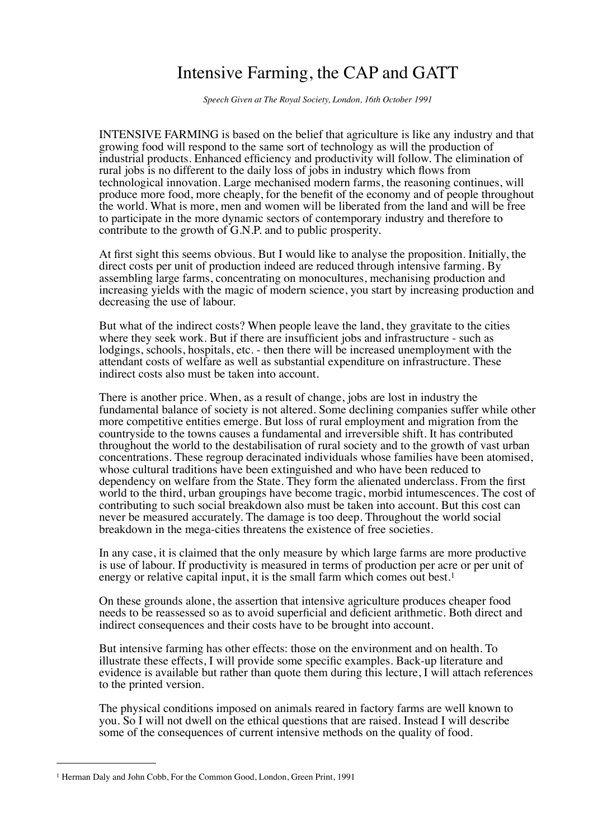## Intensive Farming, the CAP and GATT

*Speech Given at The Royal Society, London, 16th October 1991*

INTENSIVE FARMING is based on the belief that agriculture is like any industry and that growing food will respond to the same sort of technology as will the production of industrial products. Enhanced efficiency and productivity will follow. The elimination of rural jobs is no different to the daily loss of jobs in industry which flows from technological innovation. Large mechanised modern farms, the reasoning continues, will produce more food, more cheaply, for the benefit of the economy and of people throughout the world. What is more, men and women will be liberated from the land and will be free to participate in the more dynamic sectors of contemporary industry and therefore to contribute to the growth of G.N.P. and to public prosperity.

At first sight this seems obvious. But I would like to analyse the proposition. Initially, the direct costs per unit of production indeed are reduced through intensive farming. By assembling large farms, concentrating on monocultures, mechanising production and increasing yields with the magic of modern science, you start by increasing production and decreasing the use of labour.

But what of the indirect costs? When people leave the land, they gravitate to the cities where they seek work. But if there are insufficient jobs and infrastructure - such as lodgings, schools, hospitals, etc. - then there will be increased unemployment with the attendant costs of welfare as well as substantial expenditure on infrastructure. These indirect costs also must be taken into account.

There is another price. When, as a result of change, jobs are lost in industry the fundamental balance of society is not altered. Some declining companies suffer while other more competitive entities emerge. But loss of rural employment and migration from the countryside to the towns causes a fundamental and irreversible shift. It has contributed throughout the world to the destabilisation of rural society and to the growth of vast urban concentrations. These regroup deracinated individuals whose families have been atomised, whose cultural traditions have been extinguished and who have been reduced to dependency on welfare from the State. They form the alienated underclass. From the first world to the third, urban groupings have become tragic, morbid intumescences. The cost of contributing to such social breakdown also must be taken into account. But this cost can never be measured accurately. The damage is too deep. Throughout the world social breakdown in the mega-cities threatens the existence of free societies.

In any case, it is claimed that the only measure by which large farms are more productive is use of labour. If productivity is measured in terms of production per acre or per unit of energy or relative capital input, it is the small farm which comes out best.<sup>1</sup>

On these grounds alone, the assertion that intensive agriculture produces cheaper food needs to be reassessed so as to avoid superficial and deficient arithmetic. Both direct and indirect consequences and their costs have to be brought into account.

But intensive farming has other effects: those on the environment and on health. To illustrate these effects, I will provide some specific examples. Back-up literature and evidence is available but rather than quote them during this lecture, I will attach references to the printed version.

The physical conditions imposed on animals reared in factory farms are well known to you. So I will not dwell on the ethical questions that are raised. Instead I will describe some of the consequences of current intensive methods on the quality of food.

<span id="page-0-0"></span><sup>1</sup> Herman Daly and John Cobb, For the Common Good, London, Green Print, 1991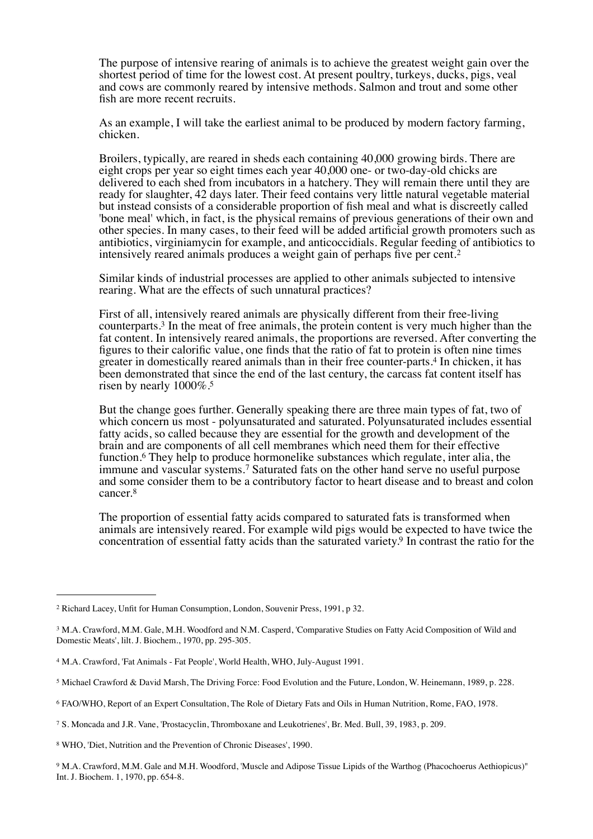The purpose of intensive rearing of animals is to achieve the greatest weight gain over the shortest period of time for the lowest cost. At present poultry, turkeys, ducks, pigs, veal and cows are commonly reared by intensive methods. Salmon and trout and some other fish are more recent recruits.

As an example, I will take the earliest animal to be produced by modern factory farming, chicken.

Broilers, typically, are reared in sheds each containing 40,000 growing birds. There are eight crops per year so eight times each year 40,000 one- or two-day-old chicks are delivered to each shed from incubators in a hatchery. They will remain there until they are ready for slaughter, 42 days later. Their feed contains very little natural vegetable material but instead consists of a considerable proportion of fish meal and what is discreetly called 'bone meal' which, in fact, is the physical remains of previous generations of their own and other species. In many cases, to their feed will be added artificial growth promoters such as antibiotics, virginiamycin for example, and anticoccidials. Regular feeding of antibiotics to intensively reared animals produces a weight gain of perhaps five per cent.[2](#page-1-0)

Similar kinds of industrial processes are applied to other animals subjected to intensive rearing. What are the effects of such unnatural practices?

First of all, intensively reared animals are physically different from their free-living counterparts[.3](#page-1-1) In the meat of free animals, the protein content is very much higher than the fat content. In intensively reared animals, the proportions are reversed. After converting the figures to their calorific value, one finds that the ratio of fat to protein is often nine times greater in domestically reared animals than in their free counter-parts[.4](#page-1-2) In chicken, it has been demonstrated that since the end of the last century, the carcass fat content itself has risen by nearly 1000%[.5](#page-1-3)

But the change goes further. Generally speaking there are three main types of fat, two of which concern us most - polyunsaturated and saturated. Polyunsaturated includes essential fatty acids, so called because they are essential for the growth and development of the brain and are components of all cell membranes which need them for their effective function.<sup>6</sup> They help to produce hormonelike substances which regulate, inter alia, the immune and vascular systems[.7](#page-1-5) Saturated fats on the other hand serve no useful purpose and some consider them to be a contributory factor to heart disease and to breast and colon cancer[.8](#page-1-6)

The proportion of essential fatty acids compared to saturated fats is transformed when animals are intensively reared. For example wild pigs would be expected to have twice the concentration of essential fatty acids than the saturated variety[.9](#page-1-7) In contrast the ratio for the

<span id="page-1-0"></span><sup>2</sup> Richard Lacey, Unfit for Human Consumption, London, Souvenir Press, 1991, p 32.

<span id="page-1-1"></span><sup>&</sup>lt;sup>3</sup> M.A. Crawford, M.M. Gale, M.H. Woodford and N.M. Casperd, 'Comparative Studies on Fatty Acid Composition of Wild and Domestic Meats', lilt. J. Biochem., 1970, pp. 295-305.

<span id="page-1-2"></span><sup>4</sup> M.A. Crawford, 'Fat Animals - Fat People', World Health, WHO, July-August 1991.

<span id="page-1-3"></span><sup>5</sup> Michael Crawford & David Marsh, The Driving Force: Food Evolution and the Future, London, W. Heinemann, 1989, p. 228.

<span id="page-1-4"></span><sup>6</sup> FAO/WHO, Report of an Expert Consultation, The Role of Dietary Fats and Oils in Human Nutrition, Rome, FAO, 1978.

<span id="page-1-5"></span><sup>7</sup> S. Moncada and J.R. Vane, 'Prostacyclin, Thromboxane and Leukotrienes', Br. Med. Bull, 39, 1983, p. 209.

<span id="page-1-6"></span><sup>8</sup> WHO, 'Diet, Nutrition and the Prevention of Chronic Diseases', 1990.

<span id="page-1-7"></span><sup>9</sup> M.A. Crawford, M.M. Gale and M.H. Woodford, 'Muscle and Adipose Tissue Lipids of the Warthog (Phacochoerus Aethiopicus)" Int. J. Biochem. 1, 1970, pp. 654-8.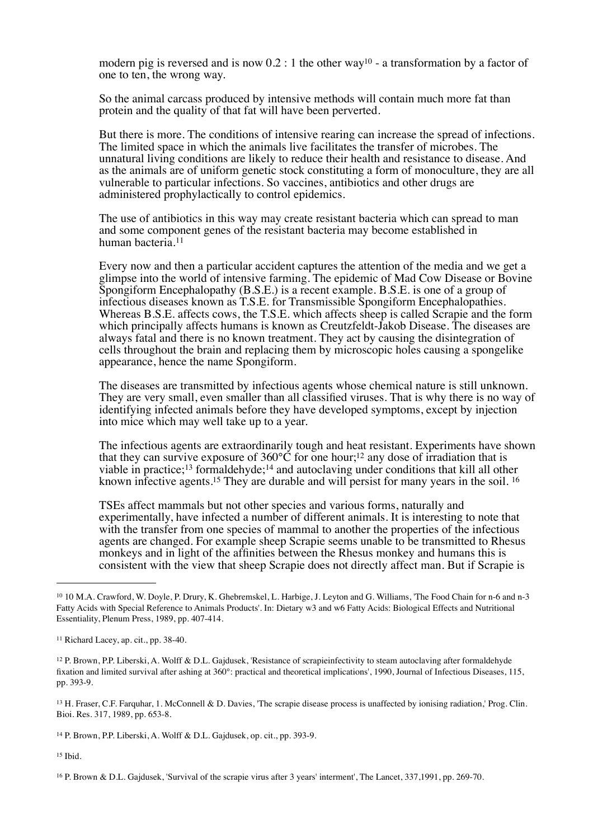modern pig is reversed and is now  $0.2$ : 1 the other way<sup>10</sup> - a transformation by a factor of one to ten, the wrong way.

So the animal carcass produced by intensive methods will contain much more fat than protein and the quality of that fat will have been perverted.

But there is more. The conditions of intensive rearing can increase the spread of infections. The limited space in which the animals live facilitates the transfer of microbes. The unnatural living conditions are likely to reduce their health and resistance to disease. And as the animals are of uniform genetic stock constituting a form of monoculture, they are all vulnerable to particular infections. So vaccines, antibiotics and other drugs are administered prophylactically to control epidemics.

The use of antibiotics in this way may create resistant bacteria which can spread to man and some component genes of the resistant bacteria may become established in human bacteria[.11](#page-2-1)

Every now and then a particular accident captures the attention of the media and we get a glimpse into the world of intensive farming. The epidemic of Mad Cow Disease or Bovine Spongiform Encephalopathy (B.S.E.) is a recent example. B.S.E. is one of a group of infectious diseases known as T.S.E. for Transmissible Spongiform Encephalopathies. Whereas B.S.E. affects cows, the T.S.E. which affects sheep is called Scrapie and the form which principally affects humans is known as Creutzfeldt-Jakob Disease. The diseases are always fatal and there is no known treatment. They act by causing the disintegration of cells throughout the brain and replacing them by microscopic holes causing a spongelike appearance, hence the name Spongiform.

The diseases are transmitted by infectious agents whose chemical nature is still unknown. They are very small, even smaller than all classified viruses. That is why there is no way of identifying infected animals before they have developed symptoms, except by injection into mice which may well take up to a year.

The infectious agents are extraordinarily tough and heat resistant. Experiments have shown that they can survive exposure of  $360^{\circ}$ C for one hour;<sup>12</sup> any dose of irradiation that is viable in practice;<sup>13</sup> formaldehyde;<sup>14</sup> and autoclaving under conditions that kill all other known infective agents.<sup>15</sup> They are durable and will persist for many years in the soil.<sup>16</sup>

TSEs affect mammals but not other species and various forms, naturally and experimentally, have infected a number of different animals. It is interesting to note that with the transfer from one species of mammal to another the properties of the infectious agents are changed. For example sheep Scrapie seems unable to be transmitted to Rhesus monkeys and in light of the affinities between the Rhesus monkey and humans this is consistent with the view that sheep Scrapie does not directly affect man. But if Scrapie is

<span id="page-2-4"></span><sup>14</sup> P. Brown, P.P. Liberski, A. Wolff & D.L. Gajdusek, op. cit., pp. 393-9.

<span id="page-2-5"></span> $15$  Ibid.

<span id="page-2-0"></span><sup>10</sup> 10 M.A. Crawford, W. Doyle, P. Drury, K. Ghebremskel, L. Harbige, J. Leyton and G. Williams, 'The Food Chain for n-6 and n-3 Fatty Acids with Special Reference to Animals Products'. In: Dietary w3 and w6 Fatty Acids: Biological Effects and Nutritional Essentiality, Plenum Press, 1989, pp. 407-414.

<span id="page-2-1"></span><sup>11</sup> Richard Lacey, ap. cit., pp. 38-40.

<span id="page-2-2"></span><sup>12</sup> P. Brown, P.P. Liberski, A. Wolff & D.L. Gajdusek, 'Resistance of scrapieinfectivity to steam autoclaving after formaldehyde fixation and limited survival after ashing at 360°: practical and theoretical implications', 1990, Journal of Infectious Diseases, 115, pp. 393-9.

<span id="page-2-3"></span><sup>13</sup> H. Fraser, C.F. Farquhar, 1. McConnell & D. Davies, 'The scrapie disease process is unaffected by ionising radiation,' Prog. Clin. Bioi. Res. 317, 1989, pp. 653-8.

<span id="page-2-6"></span><sup>16</sup> P. Brown & D.L. Gajdusek, 'Survival of the scrapie virus after 3 years' interment', The Lancet, 337,1991, pp. 269-70.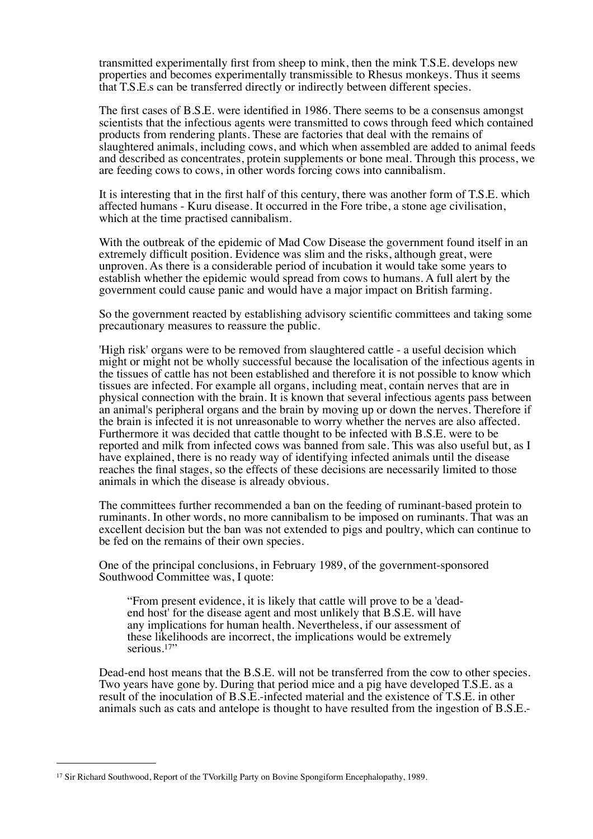transmitted experimentally first from sheep to mink, then the mink T.S.E. develops new properties and becomes experimentally transmissible to Rhesus monkeys. Thus it seems that T.S.E.s can be transferred directly or indirectly between different species.

The first cases of B.S.E. were identified in 1986. There seems to be a consensus amongst scientists that the infectious agents were transmitted to cows through feed which contained products from rendering plants. These are factories that deal with the remains of slaughtered animals, including cows, and which when assembled are added to animal feeds and described as concentrates, protein supplements or bone meal. Through this process, we are feeding cows to cows, in other words forcing cows into cannibalism.

It is interesting that in the first half of this century, there was another form of T.S.E. which affected humans - Kuru disease. It occurred in the Fore tribe, a stone age civilisation, which at the time practised cannibalism.

With the outbreak of the epidemic of Mad Cow Disease the government found itself in an extremely difficult position. Evidence was slim and the risks, although great, were unproven. As there is a considerable period of incubation it would take some years to establish whether the epidemic would spread from cows to humans. A full alert by the government could cause panic and would have a major impact on British farming.

So the government reacted by establishing advisory scientific committees and taking some precautionary measures to reassure the public.

'High risk' organs were to be removed from slaughtered cattle - a useful decision which might or might not be wholly successful because the localisation of the infectious agents in the tissues of cattle has not been established and therefore it is not possible to know which tissues are infected. For example all organs, including meat, contain nerves that are in physical connection with the brain. It is known that several infectious agents pass between an animal's peripheral organs and the brain by moving up or down the nerves. Therefore if the brain is infected it is not unreasonable to worry whether the nerves are also affected. Furthermore it was decided that cattle thought to be infected with B.S.E. were to be reported and milk from infected cows was banned from sale. This was also useful but, as I have explained, there is no ready way of identifying infected animals until the disease reaches the final stages, so the effects of these decisions are necessarily limited to those animals in which the disease is already obvious.

The committees further recommended a ban on the feeding of ruminant-based protein to ruminants. In other words, no more cannibalism to be imposed on ruminants. That was an excellent decision but the ban was not extended to pigs and poultry, which can continue to be fed on the remains of their own species.

One of the principal conclusions, in February 1989, of the government-sponsored Southwood Committee was, I quote:

"From present evidence, it is likely that cattle will prove to be a 'deadend host' for the disease agent and most unlikely that B.S.E. will have any implications for human health. Nevertheless, if our assessment of these likelihoods are incorrect, the implications would be extremely serious.<sup>[17"](#page-3-0)</sup>

Dead-end host means that the B.S.E. will not be transferred from the cow to other species. Two years have gone by. During that period mice and a pig have developed T.S.E. as a result of the inoculation of B.S.E.-infected material and the existence of T.S.E. in other animals such as cats and antelope is thought to have resulted from the ingestion of B.S.E.-

<span id="page-3-0"></span><sup>17</sup> Sir Richard Southwood, Report of the TVorkillg Party on Bovine Spongiform Encephalopathy, 1989.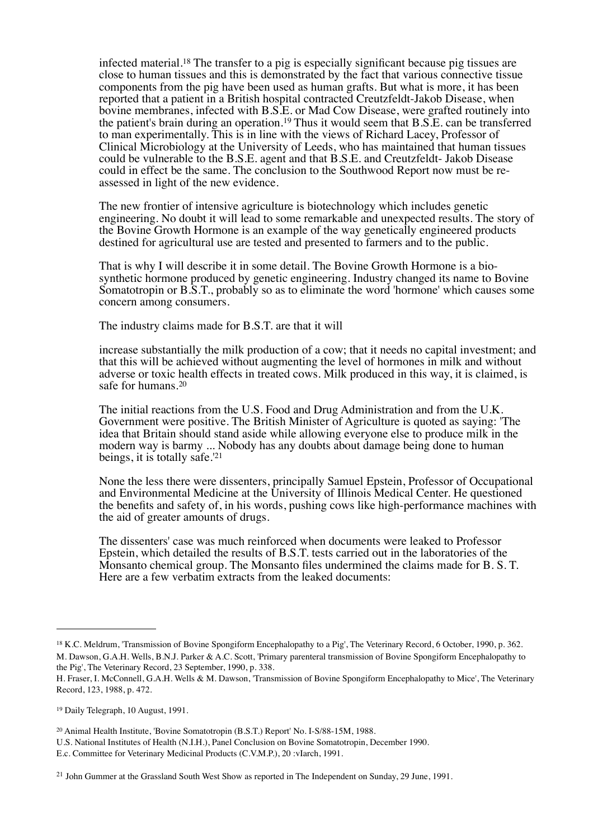infected material[.18](#page-4-0) The transfer to a pig is especially significant because pig tissues are close to human tissues and this is demonstrated by the fact that various connective tissue components from the pig have been used as human grafts. But what is more, it has been reported that a patient in a British hospital contracted Creutzfeldt-Jakob Disease, when bovine membranes, infected with B.S.E. or Mad Cow Disease, were grafted routinely into the patient's brain during an operation.<sup>19</sup> Thus it would seem that B.S.E. can be transferred to man experimentally. This is in line with the views of Richard Lacey, Professor of Clinical Microbiology at the University of Leeds, who has maintained that human tissues could be vulnerable to the B.S.E. agent and that B.S.E. and Creutzfeldt- Jakob Disease could in effect be the same. The conclusion to the Southwood Report now must be reassessed in light of the new evidence.

The new frontier of intensive agriculture is biotechnology which includes genetic engineering. No doubt it will lead to some remarkable and unexpected results. The story of the Bovine Growth Hormone is an example of the way genetically engineered products destined for agricultural use are tested and presented to farmers and to the public.

That is why I will describe it in some detail. The Bovine Growth Hormone is a biosynthetic hormone produced by genetic engineering. Industry changed its name to Bovine Somatotropin or B.S.T., probably so as to eliminate the word 'hormone' which causes some concern among consumers.

The industry claims made for B.S.T. are that it will

increase substantially the milk production of a cow; that it needs no capital investment; and that this will be achieved without augmenting the level of hormones in milk and without adverse or toxic health effects in treated cows. Milk produced in this way, it is claimed, is safe for humans[.20](#page-4-2)

The initial reactions from the U.S. Food and Drug Administration and from the U.K. Government were positive. The British Minister of Agriculture is quoted as saying: 'The idea that Britain should stand aside while allowing everyone else to produce milk in the modern way is barmy ... Nobody has any doubts about damage being done to human beings, it is totally safe.'[21](#page-4-3)

None the less there were dissenters, principally Samuel Epstein, Professor of Occupational and Environmental Medicine at the University of Illinois Medical Center. He questioned the benefits and safety of, in his words, pushing cows like high-performance machines with the aid of greater amounts of drugs.

The dissenters' case was much reinforced when documents were leaked to Professor Epstein, which detailed the results of B.S.T. tests carried out in the laboratories of the Monsanto chemical group. The Monsanto files undermined the claims made for B. S. T. Here are a few verbatim extracts from the leaked documents:

<span id="page-4-0"></span><sup>18</sup> K.C. Meldrum, 'Transmission of Bovine Spongiform Encephalopathy to a Pig', The Veterinary Record, 6 October, 1990, p. 362. M. Dawson, G.A.H. Wells, B.N.J. Parker & A.C. Scott, 'Primary parenteral transmission of Bovine Spongiform Encephalopathy to the Pig', The Veterinary Record, 23 September, 1990, p. 338.

H. Fraser, I. McConnell, G.A.H. Wells & M. Dawson, 'Transmission of Bovine Spongiform Encephalopathy to Mice', The Veterinary Record, 123, 1988, p. 472.

<span id="page-4-1"></span><sup>19</sup> Daily Telegraph, 10 August, 1991.

<span id="page-4-2"></span><sup>20</sup> Animal Health Institute, 'Bovine Somatotropin (B.S.T.) Report' No. I-S/88-15M, 1988.

U.S. National Institutes of Health (N.I.H.), Panel Conclusion on Bovine Somatotropin, December 1990.

E.c. Committee for Veterinary Medicinal Products (C.V.M.P.), 20 :vIarch, 1991.

<span id="page-4-3"></span><sup>21</sup> John Gummer at the Grassland South West Show as reported in The Independent on Sunday, 29 June, 1991.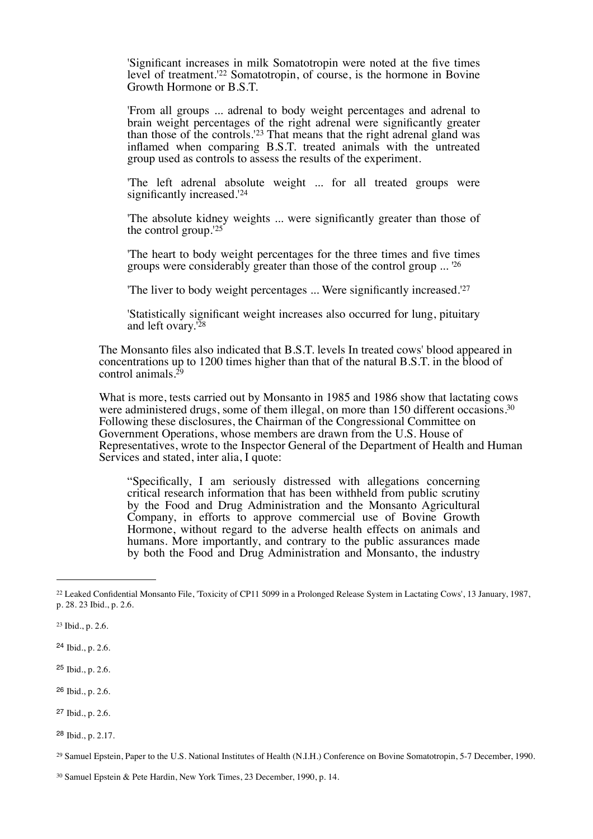'Significant increases in milk Somatotropin were noted at the five times level of treatment.'[22](#page-5-0) Somatotropin, of course, is the hormone in Bovine Growth Hormone or B.S.T.

'From all groups ... adrenal to body weight percentages and adrenal to brain weight percentages of the right adrenal were significantly greater than those of the controls.<sup>'23</sup> That means that the right adrenal gland was inflamed when comparing B.S.T. treated animals with the untreated group used as controls to assess the results of the experiment.

'The left adrenal absolute weight ... for all treated groups were significantly increased.<sup>'[24](#page-5-2)</sup>

'The absolute kidney weights ... were significantly greater than those of the control group.'[25](#page-5-3)

'The heart to body weight percentages for the three times and five times groups were considerably greater than those of the control group ... '[26](#page-5-4)

'The liver to body weight percentages ... Were significantly increased.'[27](#page-5-5)

'Statistically significant weight increases also occurred for lung, pituitary and left ovary.<sup>'[28](#page-5-6)</sup>

The Monsanto files also indicated that B.S.T. levels In treated cows' blood appeared in concentrations up to 1200 times higher than that of the natural B.S.T. in the blood of control animals.<sup>29</sup>

What is more, tests carried out by Monsanto in 1985 and 1986 show that lactating cows were administered drugs, some of them illegal, on more than 150 different occasions.<sup>30</sup> Following these disclosures, the Chairman of the Congressional Committee on Government Operations, whose members are drawn from the U.S. House of Representatives, wrote to the Inspector General of the Department of Health and Human Services and stated, inter alia, I quote:

"Specifically, I am seriously distressed with allegations concerning critical research information that has been withheld from public scrutiny by the Food and Drug Administration and the Monsanto Agricultural Company, in efforts to approve commercial use of Bovine Growth Hormone, without regard to the adverse health effects on animals and humans. More importantly, and contrary to the public assurances made by both the Food and Drug Administration and Monsanto, the industry

<span id="page-5-0"></span><sup>22</sup> Leaked Confidential Monsanto File, 'Toxicity of CP11 5099 in a Prolonged Release System in Lactating Cows', 13 January, 1987, p. 28. 23 Ibid., p. 2.6.

<span id="page-5-1"></span><sup>23</sup> Ibid., p. 2.6.

<span id="page-5-2"></span><sup>24</sup> Ibid., p. 2.6.

<span id="page-5-3"></span><sup>25</sup> Ibid., p. 2.6.

<span id="page-5-4"></span><sup>26</sup> Ibid., p. 2.6.

<span id="page-5-5"></span><sup>27</sup> Ibid., p. 2.6.

<span id="page-5-6"></span><sup>28</sup> Ibid., p. 2.17.

<span id="page-5-7"></span><sup>29</sup> Samuel Epstein, Paper to the U.S. National Institutes of Health (N.I.H.) Conference on Bovine Somatotropin, 5-7 December, 1990.

<span id="page-5-8"></span><sup>30</sup> Samuel Epstein & Pete Hardin, New York Times, 23 December, 1990, p. 14.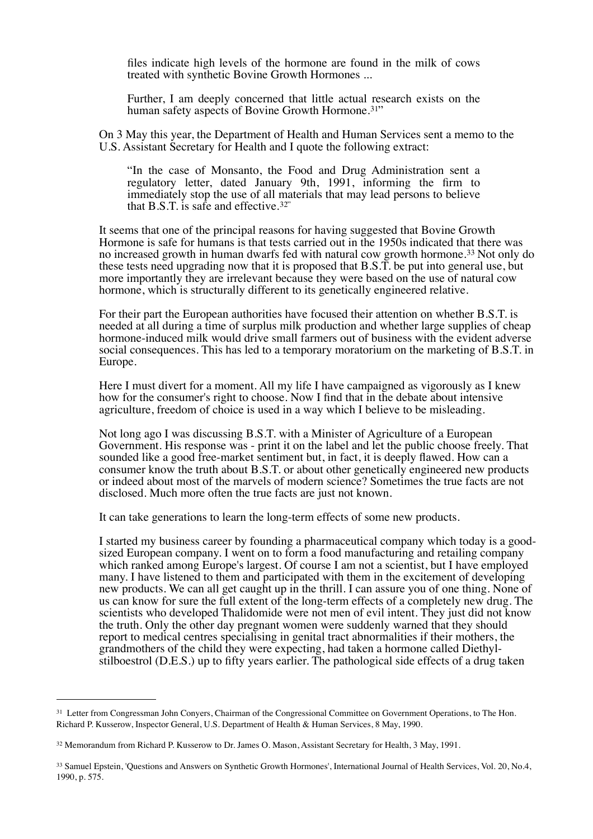files indicate high levels of the hormone are found in the milk of cows treated with synthetic Bovine Growth Hormones ...

Further, I am deeply concerned that little actual research exists on the human safety aspects of Bovine Growth Hormone.<sup>[31](#page-6-0)"</sup>

On 3 May this year, the Department of Health and Human Services sent a memo to the U.S. Assistant Secretary for Health and I quote the following extract:

"In the case of Monsanto, the Food and Drug Administration sent a regulatory letter, dated January 9th, 1991, informing the firm to immediately stop the use of all materials that may lead persons to believe that  $B.S.T.$  is safe and effective.<sup>[32](#page-6-1)"</sup>

It seems that one of the principal reasons for having suggested that Bovine Growth Hormone is safe for humans is that tests carried out in the 1950s indicated that there was no increased growth in human dwarfs fed with natural cow growth hormone.<sup>33</sup> Not only do these tests need upgrading now that it is proposed that B.S.T. be put into general use, but more importantly they are irrelevant because they were based on the use of natural cow hormone, which is structurally different to its genetically engineered relative.

For their part the European authorities have focused their attention on whether B.S.T. is needed at all during a time of surplus milk production and whether large supplies of cheap hormone-induced milk would drive small farmers out of business with the evident adverse social consequences. This has led to a temporary moratorium on the marketing of B.S.T. in Europe.

Here I must divert for a moment. All my life I have campaigned as vigorously as I knew how for the consumer's right to choose. Now I find that in the debate about intensive agriculture, freedom of choice is used in a way which I believe to be misleading.

Not long ago I was discussing B.S.T. with a Minister of Agriculture of a European Government. His response was - print it on the label and let the public choose freely. That sounded like a good free-market sentiment but, in fact, it is deeply flawed. How can a consumer know the truth about B.S.T. or about other genetically engineered new products or indeed about most of the marvels of modern science? Sometimes the true facts are not disclosed. Much more often the true facts are just not known.

It can take generations to learn the long-term effects of some new products.

I started my business career by founding a pharmaceutical company which today is a goodsized European company. I went on to form a food manufacturing and retailing company which ranked among Europe's largest. Of course I am not a scientist, but I have employed many. I have listened to them and participated with them in the excitement of developing new products. We can all get caught up in the thrill. I can assure you of one thing. None of us can know for sure the full extent of the long-term effects of a completely new drug. The scientists who developed Thalidomide were not men of evil intent. They just did not know the truth. Only the other day pregnant women were suddenly warned that they should report to medical centres specialising in genital tract abnormalities if their mothers, the grandmothers of the child they were expecting, had taken a hormone called Diethylstilboestrol (D.E.S.) up to fifty years earlier. The pathological side effects of a drug taken

<span id="page-6-0"></span><sup>&</sup>lt;sup>31</sup> Letter from Congressman John Conyers, Chairman of the Congressional Committee on Government Operations, to The Hon. Richard P. Kusserow, Inspector General, U.S. Department of Health & Human Services, 8 May, 1990.

<span id="page-6-1"></span><sup>32</sup> Memorandum from Richard P. Kusserow to Dr. James O. Mason, Assistant Secretary for Health, 3 May, 1991.

<span id="page-6-2"></span><sup>33</sup> Samuel Epstein, 'Questions and Answers on Synthetic Growth Hormones', International Journal of Health Services, Vol. 20, No.4, 1990, p. 575.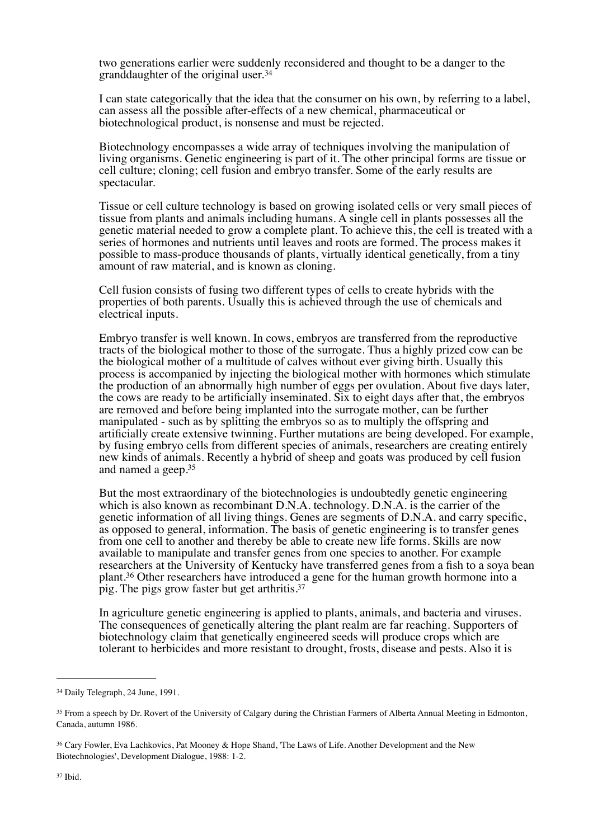two generations earlier were suddenly reconsidered and thought to be a danger to the granddaughter of the original user[.34](#page-7-0)

I can state categorically that the idea that the consumer on his own, by referring to a label, can assess all the possible after-effects of a new chemical, pharmaceutical or biotechnological product, is nonsense and must be rejected.

Biotechnology encompasses a wide array of techniques involving the manipulation of living organisms. Genetic engineering is part of it. The other principal forms are tissue or cell culture; cloning; cell fusion and embryo transfer. Some of the early results are spectacular.

Tissue or cell culture technology is based on growing isolated cells or very small pieces of tissue from plants and animals including humans. A single cell in plants possesses all the genetic material needed to grow a complete plant. To achieve this, the cell is treated with a series of hormones and nutrients until leaves and roots are formed. The process makes it possible to mass-produce thousands of plants, virtually identical genetically, from a tiny amount of raw material, and is known as cloning.

Cell fusion consists of fusing two different types of cells to create hybrids with the properties of both parents. Usually this is achieved through the use of chemicals and electrical inputs.

Embryo transfer is well known. In cows, embryos are transferred from the reproductive tracts of the biological mother to those of the surrogate. Thus a highly prized cow can be the biological mother of a multitude of calves without ever giving birth. Usually this process is accompanied by injecting the biological mother with hormones which stimulate the production of an abnormally high number of eggs per ovulation. About five days later, the cows are ready to be artificially inseminated. Six to eight days after that, the embryos are removed and before being implanted into the surrogate mother, can be further manipulated - such as by splitting the embryos so as to multiply the offspring and artificially create extensive twinning. Further mutations are being developed. For example, by fusing embryo cells from different species of animals, researchers are creating entirely new kinds of animals. Recently a hybrid of sheep and goats was produced by cell fusion and named a geep[.35](#page-7-1)

But the most extraordinary of the biotechnologies is undoubtedly genetic engineering which is also known as recombinant D.N.A. technology. D.N.A. is the carrier of the genetic information of all living things. Genes are segments of D.N.A. and carry specific, as opposed to general, information. The basis of genetic engineering is to transfer genes from one cell to another and thereby be able to create new life forms. Skills are now available to manipulate and transfer genes from one species to another. For example researchers at the University of Kentucky have transferred genes from a fish to a soya bean plant[.36](#page-7-2) Other researchers have introduced a gene for the human growth hormone into a pig. The pigs grow faster but get arthritis[.37](#page-7-3)

In agriculture genetic engineering is applied to plants, animals, and bacteria and viruses. The consequences of genetically altering the plant realm are far reaching. Supporters of biotechnology claim that genetically engineered seeds will produce crops which are tolerant to herbicides and more resistant to drought, frosts, disease and pests. Also it is

<span id="page-7-0"></span><sup>34</sup> Daily Telegraph, 24 June, 1991.

<span id="page-7-1"></span><sup>&</sup>lt;sup>35</sup> From a speech by Dr. Rovert of the University of Calgary during the Christian Farmers of Alberta Annual Meeting in Edmonton, Canada, autumn 1986.

<span id="page-7-3"></span><span id="page-7-2"></span><sup>36</sup> Cary Fowler, Eva Lachkovics, Pat Mooney & Hope Shand, 'The Laws of Life. Another Development and the New Biotechnologies', Development Dialogue, 1988: 1-2.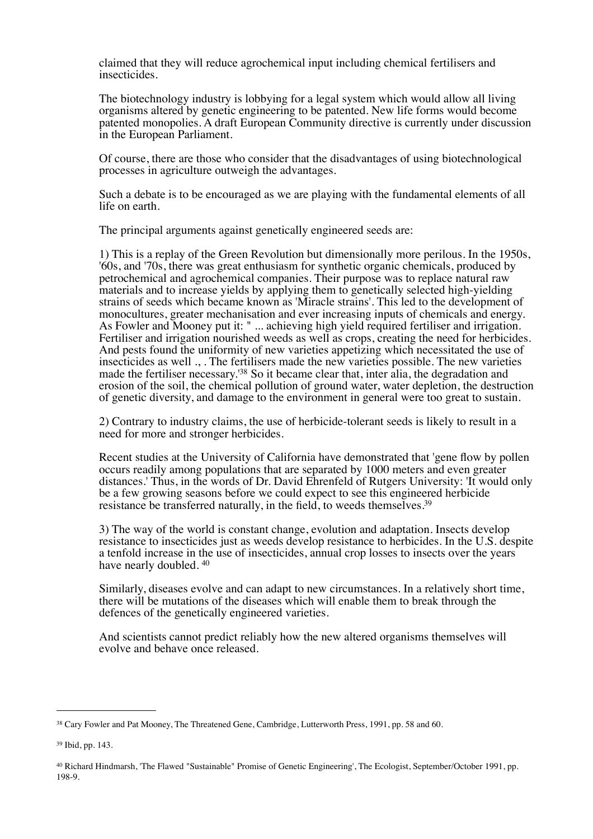claimed that they will reduce agrochemical input including chemical fertilisers and insecticides.

The biotechnology industry is lobbying for a legal system which would allow all living organisms altered by genetic engineering to be patented. New life forms would become patented monopolies. A draft European Community directive is currently under discussion in the European Parliament.

Of course, there are those who consider that the disadvantages of using biotechnological processes in agriculture outweigh the advantages.

Such a debate is to be encouraged as we are playing with the fundamental elements of all life on earth.

The principal arguments against genetically engineered seeds are:

1) This is a replay of the Green Revolution but dimensionally more perilous. In the 1950s, '60s, and '70s, there was great enthusiasm for synthetic organic chemicals, produced by petrochemical and agrochemical companies. Their purpose was to replace natural raw materials and to increase yields by applying them to genetically selected high-yielding strains of seeds which became known as 'Miracle strains'. This led to the development of monocultures, greater mechanisation and ever increasing inputs of chemicals and energy. As Fowler and Mooney put it: " ... achieving high yield required fertiliser and irrigation. Fertiliser and irrigation nourished weeds as well as crops, creating the need for herbicides. And pests found the uniformity of new varieties appetizing which necessitated the use of insecticides as well ., . The fertilisers made the new varieties possible. The new varieties made the fertiliser necessary.['38](#page-8-0) So it became clear that, inter alia, the degradation and erosion of the soil, the chemical pollution of ground water, water depletion, the destruction of genetic diversity, and damage to the environment in general were too great to sustain.

2) Contrary to industry claims, the use of herbicide-tolerant seeds is likely to result in a need for more and stronger herbicides.

Recent studies at the University of California have demonstrated that 'gene flow by pollen occurs readily among populations that are separated by 1000 meters and even greater distances.' Thus, in the words of Dr. David Ehrenfeld of Rutgers University: 'It would only be a few growing seasons before we could expect to see this engineered herbicide resistance be transferred naturally, in the field, to weeds themselves[.39](#page-8-1)

3) The way of the world is constant change, evolution and adaptation. Insects develop resistance to insecticides just as weeds develop resistance to herbicides. In the U.S. despite a tenfold increase in the use of insecticides, annual crop losses to insects over the years have nearly doubled. [40](#page-8-2)

Similarly, diseases evolve and can adapt to new circumstances. In a relatively short time, there will be mutations of the diseases which will enable them to break through the defences of the genetically engineered varieties.

And scientists cannot predict reliably how the new altered organisms themselves will evolve and behave once released.

<span id="page-8-0"></span><sup>38</sup> Cary Fowler and Pat Mooney, The Threatened Gene, Cambridge, Lutterworth Press, 1991, pp. 58 and 60.

<span id="page-8-1"></span><sup>39</sup> Ibid, pp. 143.

<span id="page-8-2"></span><sup>40</sup> Richard Hindmarsh, 'The Flawed "Sustainable" Promise of Genetic Engineering', The Ecologist, September/October 1991, pp. 198-9.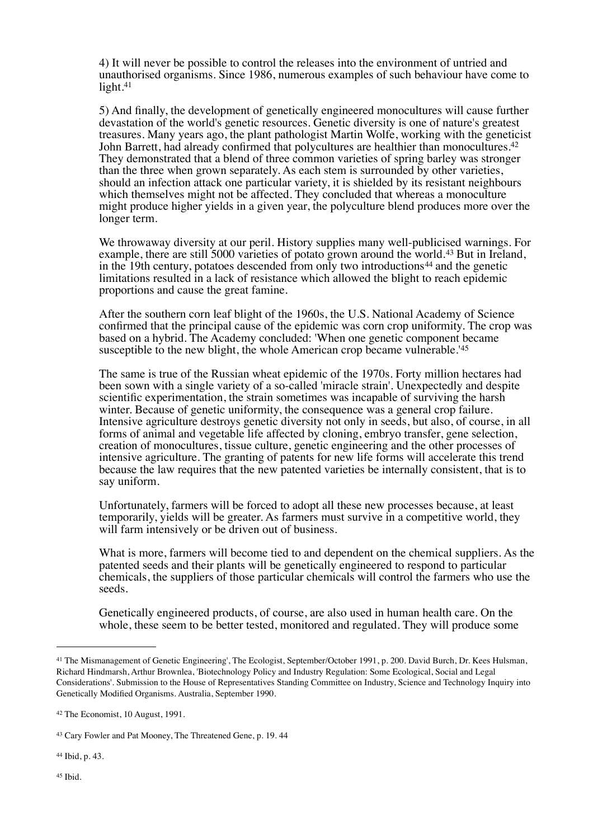4) It will never be possible to control the releases into the environment of untried and unauthorised organisms. Since 1986, numerous examples of such behaviour have come to light.<sup>41</sup>

5) And finally, the development of genetically engineered monocultures will cause further devastation of the world's genetic resources. Genetic diversity is one of nature's greatest treasures. Many years ago, the plant pathologist Martin Wolfe, working with the geneticist John Barrett, had already confirmed that polycultures are healthier than monocultures.<sup>42</sup> They demonstrated that a blend of three common varieties of spring barley was stronger than the three when grown separately. As each stem is surrounded by other varieties, should an infection attack one particular variety, it is shielded by its resistant neighbours which themselves might not be affected. They concluded that whereas a monoculture might produce higher yields in a given year, the polyculture blend produces more over the longer term.

We throwaway diversity at our peril. History supplies many well-publicised warnings. For example, there are still 5000 varieties of potato grown around the world.[43](#page-9-2) But in Ireland, in the 19th century, potatoes descended from only two introductions<sup>44</sup> and the genetic limitations resulted in a lack of resistance which allowed the blight to reach epidemic proportions and cause the great famine.

After the southern corn leaf blight of the 1960s, the U.S. National Academy of Science confirmed that the principal cause of the epidemic was corn crop uniformity. The crop was based on a hybrid. The Academy concluded: 'When one genetic component became susceptible to the new blight, the whole American crop became vulnerable.'[45](#page-9-4)

The same is true of the Russian wheat epidemic of the 1970s. Forty million hectares had been sown with a single variety of a so-called 'miracle strain'. Unexpectedly and despite scientific experimentation, the strain sometimes was incapable of surviving the harsh winter. Because of genetic uniformity, the consequence was a general crop failure. Intensive agriculture destroys genetic diversity not only in seeds, but also, of course, in all forms of animal and vegetable life affected by cloning, embryo transfer, gene selection, creation of monocultures, tissue culture, genetic engineering and the other processes of intensive agriculture. The granting of patents for new life forms will accelerate this trend because the law requires that the new patented varieties be internally consistent, that is to say uniform.

Unfortunately, farmers will be forced to adopt all these new processes because, at least temporarily, yields will be greater. As farmers must survive in a competitive world, they will farm intensively or be driven out of business.

What is more, farmers will become tied to and dependent on the chemical suppliers. As the patented seeds and their plants will be genetically engineered to respond to particular chemicals, the suppliers of those particular chemicals will control the farmers who use the seeds.

Genetically engineered products, of course, are also used in human health care. On the whole, these seem to be better tested, monitored and regulated. They will produce some

<span id="page-9-4"></span><span id="page-9-3"></span><sup>44</sup> Ibid, p. 43.

<span id="page-9-0"></span><sup>&</sup>lt;sup>41</sup> The Mismanagement of Genetic Engineering', The Ecologist, September/October 1991, p. 200, David Burch, Dr. Kees Hulsman, Richard Hindmarsh, Arthur Brownlea, 'Biotechnology Policy and Industry Regulation: Some Ecological, Social and Legal Considerations'. Submission to the House of Representatives Standing Committee on Industry, Science and Technology Inquiry into Genetically Modified Organisms. Australia, September 1990.

<span id="page-9-1"></span><sup>42</sup> The Economist, 10 August, 1991.

<span id="page-9-2"></span><sup>43</sup> Cary Fowler and Pat Mooney, The Threatened Gene, p. 19. 44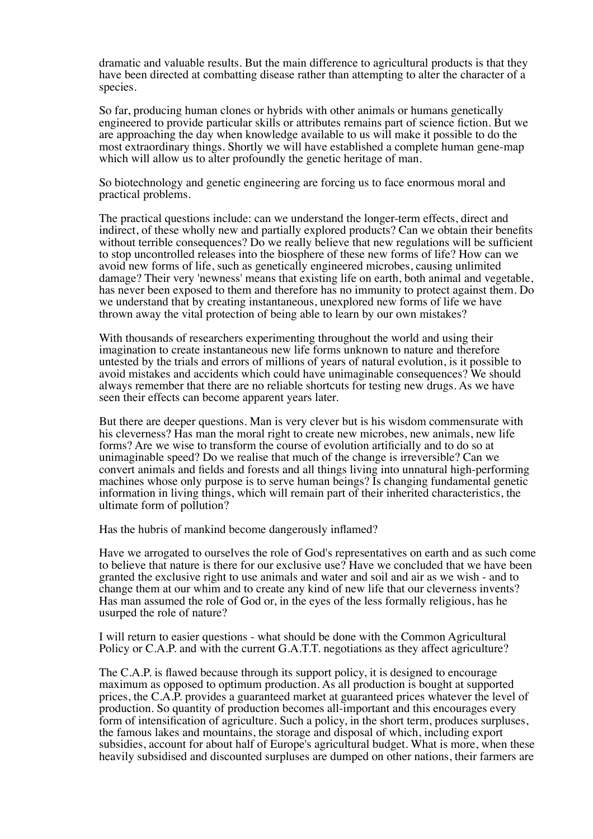dramatic and valuable results. But the main difference to agricultural products is that they have been directed at combatting disease rather than attempting to alter the character of a species.

So far, producing human clones or hybrids with other animals or humans genetically engineered to provide particular skills or attributes remains part of science fiction. But we are approaching the day when knowledge available to us will make it possible to do the most extraordinary things. Shortly we will have established a complete human gene-map which will allow us to alter profoundly the genetic heritage of man.

So biotechnology and genetic engineering are forcing us to face enormous moral and practical problems.

The practical questions include: can we understand the longer-term effects, direct and indirect, of these wholly new and partially explored products? Can we obtain their benefits without terrible consequences? Do we really believe that new regulations will be sufficient to stop uncontrolled releases into the biosphere of these new forms of life? How can we avoid new forms of life, such as genetically engineered microbes, causing unlimited damage? Their very 'newness' means that existing life on earth, both animal and vegetable, has never been exposed to them and therefore has no immunity to protect against them. Do we understand that by creating instantaneous, unexplored new forms of life we have thrown away the vital protection of being able to learn by our own mistakes?

With thousands of researchers experimenting throughout the world and using their imagination to create instantaneous new life forms unknown to nature and therefore untested by the trials and errors of millions of years of natural evolution, is it possible to avoid mistakes and accidents which could have unimaginable consequences? We should always remember that there are no reliable shortcuts for testing new drugs. As we have seen their effects can become apparent years later.

But there are deeper questions. Man is very clever but is his wisdom commensurate with his cleverness? Has man the moral right to create new microbes, new animals, new life forms? Are we wise to transform the course of evolution artificially and to do so at unimaginable speed? Do we realise that much of the change is irreversible? Can we convert animals and fields and forests and all things living into unnatural high-performing machines whose only purpose is to serve human beings? Is changing fundamental genetic information in living things, which will remain part of their inherited characteristics, the ultimate form of pollution?

Has the hubris of mankind become dangerously inflamed?

Have we arrogated to ourselves the role of God's representatives on earth and as such come to believe that nature is there for our exclusive use? Have we concluded that we have been granted the exclusive right to use animals and water and soil and air as we wish - and to change them at our whim and to create any kind of new life that our cleverness invents? Has man assumed the role of God or, in the eyes of the less formally religious, has he usurped the role of nature?

I will return to easier questions - what should be done with the Common Agricultural Policy or C.A.P. and with the current G.A.T.T. negotiations as they affect agriculture?

The C.A.P. is flawed because through its support policy, it is designed to encourage maximum as opposed to optimum production. As all production is bought at supported prices, the C.A.P. provides a guaranteed market at guaranteed prices whatever the level of production. So quantity of production becomes all-important and this encourages every form of intensification of agriculture. Such a policy, in the short term, produces surpluses, the famous lakes and mountains, the storage and disposal of which, including export subsidies, account for about half of Europe's agricultural budget. What is more, when these heavily subsidised and discounted surpluses are dumped on other nations, their farmers are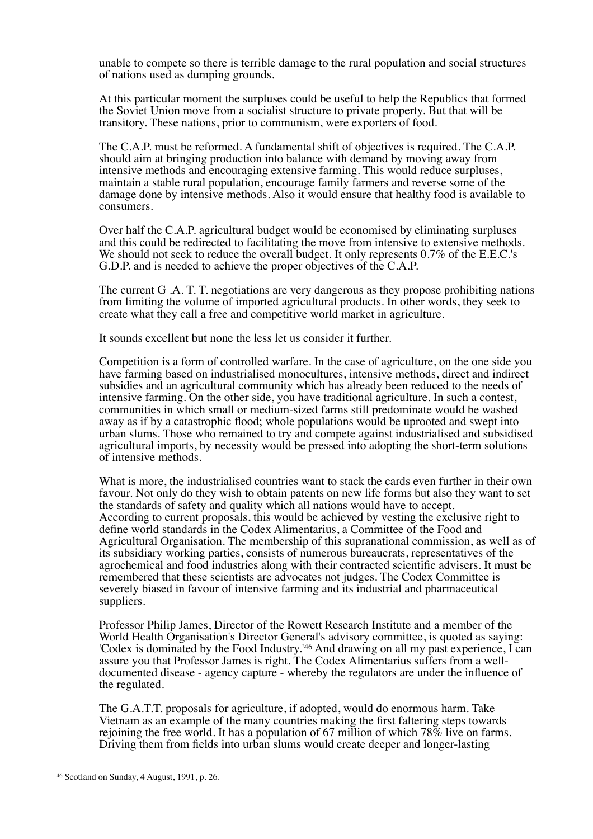unable to compete so there is terrible damage to the rural population and social structures of nations used as dumping grounds.

At this particular moment the surpluses could be useful to help the Republics that formed the Soviet Union move from a socialist structure to private property. But that will be transitory. These nations, prior to communism, were exporters of food.

The C.A.P. must be reformed. A fundamental shift of objectives is required. The C.A.P. should aim at bringing production into balance with demand by moving away from intensive methods and encouraging extensive farming. This would reduce surpluses, maintain a stable rural population, encourage family farmers and reverse some of the damage done by intensive methods. Also it would ensure that healthy food is available to consumers.

Over half the C.A.P. agricultural budget would be economised by eliminating surpluses and this could be redirected to facilitating the move from intensive to extensive methods. We should not seek to reduce the overall budget. It only represents 0.7% of the E.E.C.'s G.D.P. and is needed to achieve the proper objectives of the C.A.P.

The current G .A. T. T. negotiations are very dangerous as they propose prohibiting nations from limiting the volume of imported agricultural products. In other words, they seek to create what they call a free and competitive world market in agriculture.

It sounds excellent but none the less let us consider it further.

Competition is a form of controlled warfare. In the case of agriculture, on the one side you have farming based on industrialised monocultures, intensive methods, direct and indirect subsidies and an agricultural community which has already been reduced to the needs of intensive farming. On the other side, you have traditional agriculture. In such a contest, communities in which small or medium-sized farms still predominate would be washed away as if by a catastrophic flood; whole populations would be uprooted and swept into urban slums. Those who remained to try and compete against industrialised and subsidised agricultural imports, by necessity would be pressed into adopting the short-term solutions of intensive methods.

What is more, the industrialised countries want to stack the cards even further in their own favour. Not only do they wish to obtain patents on new life forms but also they want to set the standards of safety and quality which all nations would have to accept. According to current proposals, this would be achieved by vesting the exclusive right to define world standards in the Codex Alimentarius, a Committee of the Food and Agricultural Organisation. The membership of this supranational commission, as well as of its subsidiary working parties, consists of numerous bureaucrats, representatives of the agrochemical and food industries along with their contracted scientific advisers. It must be remembered that these scientists are advocates not judges. The Codex Committee is severely biased in favour of intensive farming and its industrial and pharmaceutical suppliers.

Professor Philip James, Director of the Rowett Research Institute and a member of the World Health Organisation's Director General's advisory committee, is quoted as saying: 'Codex is dominated by the Food Industry.'[46](#page-11-0) And drawing on all my past experience, I can assure you that Professor James is right. The Codex Alimentarius suffers from a welldocumented disease - agency capture - whereby the regulators are under the influence of the regulated.

The G.A.T.T. proposals for agriculture, if adopted, would do enormous harm. Take Vietnam as an example of the many countries making the first faltering steps towards rejoining the free world. It has a population of 67 million of which 78% live on farms. Driving them from fields into urban slums would create deeper and longer-lasting

<span id="page-11-0"></span><sup>46</sup> Scotland on Sunday, 4 August, 1991, p. 26.